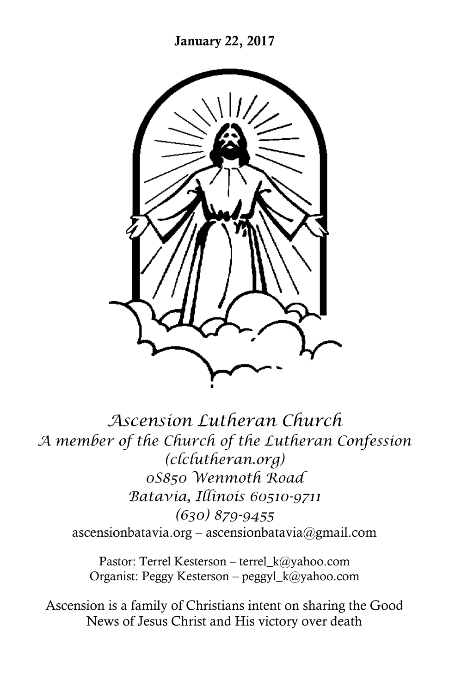**January 22, 2017**



*Ascension Lutheran Church A member of the Church of the Lutheran Confession (clclutheran.org) 0S850 Wenmoth Road Batavia, Illinois 60510-9711 (630) 879-9455* ascensionbatavia.org – ascensionbatavia@gmail.com

> Pastor: Terrel Kesterson – [terrel\\_k@yahoo.com](mailto:terrel_k@yahoo.com) Organist: Peggy Kesterson – peggyl\_k@yahoo.com

Ascension is a family of Christians intent on sharing the Good News of Jesus Christ and His victory over death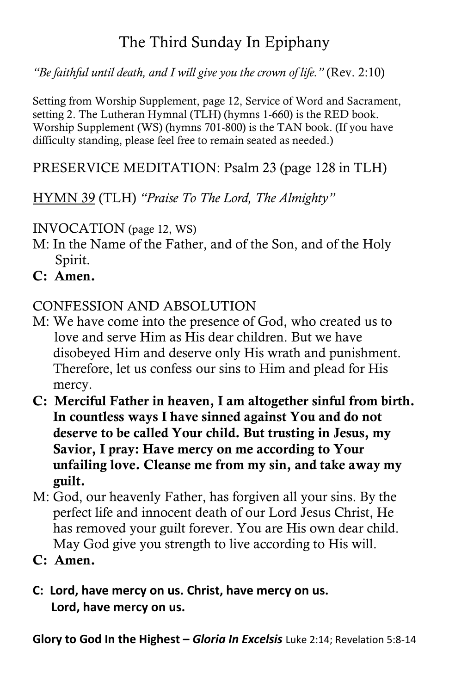# The Third Sunday In Epiphany

*"Be faithful until death, and I will give you the crown of life."* (Rev. 2:10)

Setting from Worship Supplement, page 12, Service of Word and Sacrament, setting 2. The Lutheran Hymnal (TLH) (hymns 1-660) is the RED book. Worship Supplement (WS) (hymns 701-800) is the TAN book. (If you have difficulty standing, please feel free to remain seated as needed.)

PRESERVICE MEDITATION: Psalm 23 (page 128 in TLH)

HYMN 39 (TLH) *"Praise To The Lord, The Almighty"*

INVOCATION (page 12, WS)

- M: In the Name of the Father, and of the Son, and of the Holy Spirit.
- **C: Amen.**

CONFESSION AND ABSOLUTION

- M: We have come into the presence of God, who created us to love and serve Him as His dear children. But we have disobeyed Him and deserve only His wrath and punishment. Therefore, let us confess our sins to Him and plead for His mercy.
- **C: Merciful Father in heaven, I am altogether sinful from birth. In countless ways I have sinned against You and do not deserve to be called Your child. But trusting in Jesus, my Savior, I pray: Have mercy on me according to Your unfailing love. Cleanse me from my sin, and take away my guilt.**
- M: God, our heavenly Father, has forgiven all your sins. By the perfect life and innocent death of our Lord Jesus Christ, He has removed your guilt forever. You are His own dear child. May God give you strength to live according to His will.
- **C: Amen.**
- **C: Lord, have mercy on us. Christ, have mercy on us. Lord, have mercy on us.**

**Glory to God In the Highest –** *Gloria In Excelsis* Luke 2:14; Revelation 5:8-14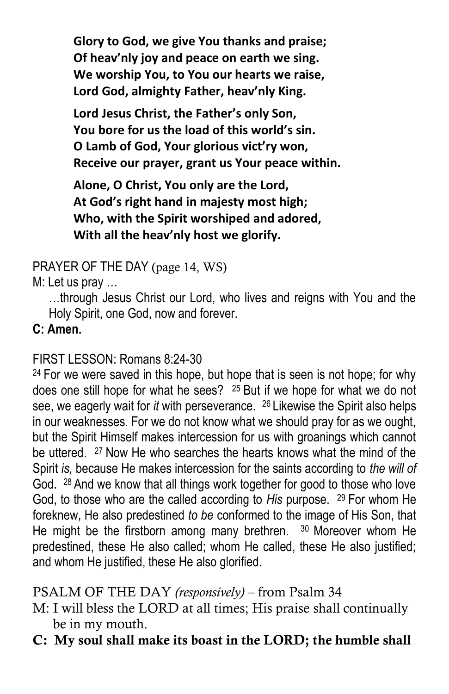**Glory to God, we give You thanks and praise; Of heav'nly joy and peace on earth we sing. We worship You, to You our hearts we raise, Lord God, almighty Father, heav'nly King.**

**Lord Jesus Christ, the Father's only Son, You bore for us the load of this world's sin. O Lamb of God, Your glorious vict'ry won, Receive our prayer, grant us Your peace within.**

**Alone, O Christ, You only are the Lord, At God's right hand in majesty most high; Who, with the Spirit worshiped and adored, With all the heav'nly host we glorify.**

PRAYER OF THE DAY (page 14, WS)

M: Let us pray …

…through Jesus Christ our Lord, who lives and reigns with You and the Holy Spirit, one God, now and forever.

**C: Amen.**

# FIRST LESSON: Romans 8:24-30

 $24$  For we were saved in this hope, but hope that is seen is not hope; for why does one still hope for what he sees? 25 But if we hope for what we do not see, we eagerly wait for *it* with perseverance. 26 Likewise the Spirit also helps in our weaknesses. For we do not know what we should pray for as we ought, but the Spirit Himself makes intercession for us with groanings which cannot be uttered. <sup>27</sup> Now He who searches the hearts knows what the mind of the Spirit *is,* because He makes intercession for the saints according to *the will of*  God. 28 And we know that all things work together for good to those who love God, to those who are the called according to *His* purpose. 29 For whom He foreknew, He also predestined *to be* conformed to the image of His Son, that He might be the firstborn among many brethren. <sup>30</sup> Moreover whom He predestined, these He also called; whom He called, these He also justified; and whom He justified, these He also glorified.

PSALM OF THE DAY *(responsively)* – from Psalm 34

M: I will bless the LORD at all times; His praise shall continually be in my mouth.

**C: My soul shall make its boast in the LORD; the humble shall**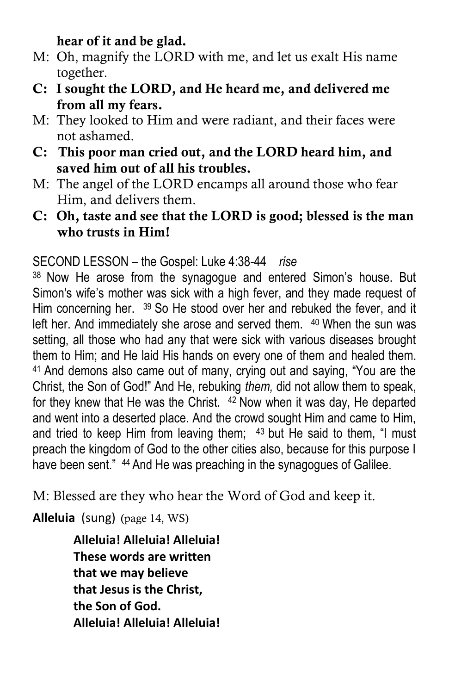**hear of it and be glad.**

- M: Oh, magnify the LORD with me, and let us exalt His name together.
- **C: I sought the LORD, and He heard me, and delivered me from all my fears.**
- M: They looked to Him and were radiant, and their faces were not ashamed.
- **C: This poor man cried out, and the LORD heard him, and saved him out of all his troubles.**
- M: The angel of the LORD encamps all around those who fear Him, and delivers them.
- **C: Oh, taste and see that the LORD is good; blessed is the man who trusts in Him!**

SECOND LESSON – the Gospel: Luke 4:38-44 *rise*

38 Now He arose from the synagogue and entered Simon's house. But Simon's wife's mother was sick with a high fever, and they made request of Him concerning her. 39 So He stood over her and rebuked the fever, and it left her. And immediately she arose and served them. 40 When the sun was setting, all those who had any that were sick with various diseases brought them to Him; and He laid His hands on every one of them and healed them. <sup>41</sup>And demons also came out of many, crying out and saying, "You are the Christ, the Son of God!" And He, rebuking *them,* did not allow them to speak, for they knew that He was the Christ. 42 Now when it was day, He departed and went into a deserted place. And the crowd sought Him and came to Him, and tried to keep Him from leaving them; 43 but He said to them, "I must preach the kingdom of God to the other cities also, because for this purpose I have been sent." 44 And He was preaching in the synagogues of Galilee.

M: Blessed are they who hear the Word of God and keep it.

**Alleluia** (sung) (page 14, WS)

**Alleluia! Alleluia! Alleluia! These words are written that we may believe that Jesus is the Christ, the Son of God. Alleluia! Alleluia! Alleluia!**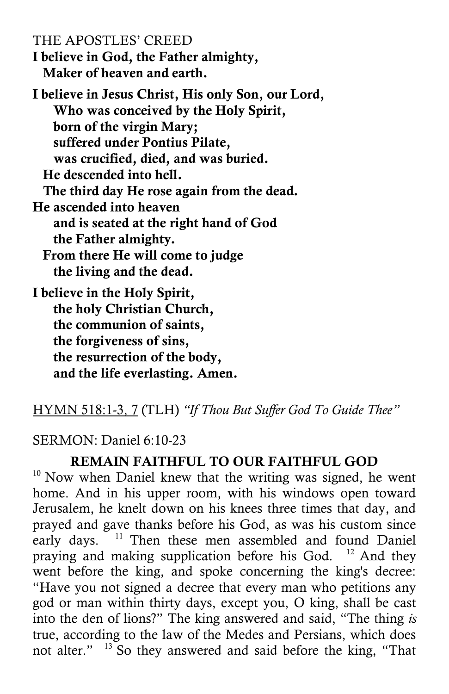THE APOSTLES' CREED

**I believe in God, the Father almighty, Maker of heaven and earth.** 

**I believe in Jesus Christ, His only Son, our Lord, Who was conceived by the Holy Spirit, born of the virgin Mary; suffered under Pontius Pilate, was crucified, died, and was buried. He descended into hell. The third day He rose again from the dead. He ascended into heaven and is seated at the right hand of God the Father almighty. From there He will come to judge the living and the dead. I believe in the Holy Spirit,**

 **the holy Christian Church, the communion of saints, the forgiveness of sins, the resurrection of the body, and the life everlasting. Amen.**

### HYMN 518:1-3, 7 (TLH) *"If Thou But Suffer God To Guide Thee"*

# SERMON: Daniel 6:10-23

# **REMAIN FAITHFUL TO OUR FAITHFUL GOD**

 $10$  Now when Daniel knew that the writing was signed, he went home. And in his upper room, with his windows open toward Jerusalem, he knelt down on his knees three times that day, and prayed and gave thanks before his God, as was his custom since early days.  $11$  Then these men assembled and found Daniel praying and making supplication before his God.  $12$  And they went before the king, and spoke concerning the king's decree: "Have you not signed a decree that every man who petitions any god or man within thirty days, except you, O king, shall be cast into the den of lions?" The king answered and said, "The thing *is*  true, according to the law of the Medes and Persians, which does not alter." <sup>13</sup> So they answered and said before the king, "That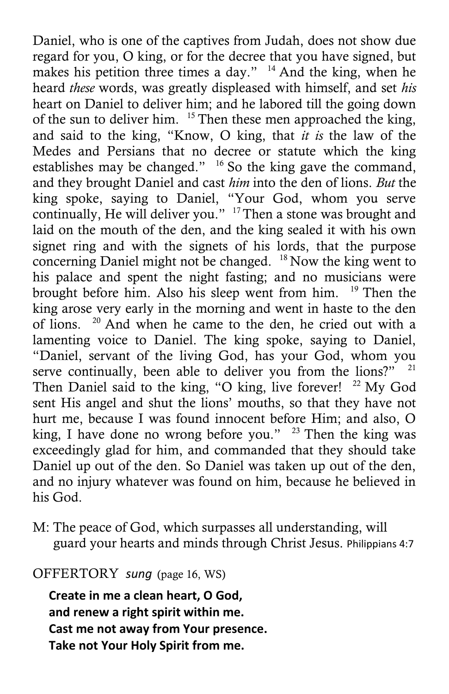Daniel, who is one of the captives from Judah, does not show due regard for you, O king, or for the decree that you have signed, but makes his petition three times a day."  $14$  And the king, when he heard *these* words, was greatly displeased with himself, and set *his*  heart on Daniel to deliver him; and he labored till the going down of the sun to deliver him. <sup>15</sup> Then these men approached the king, and said to the king, "Know, O king, that *it is* the law of the Medes and Persians that no decree or statute which the king establishes may be changed."  $16$  So the king gave the command, and they brought Daniel and cast *him* into the den of lions. *But* the king spoke, saying to Daniel, "Your God, whom you serve continually, He will deliver you."  $17$  Then a stone was brought and laid on the mouth of the den, and the king sealed it with his own signet ring and with the signets of his lords, that the purpose concerning Daniel might not be changed. <sup>18</sup> Now the king went to his palace and spent the night fasting; and no musicians were brought before him. Also his sleep went from him.  $19$  Then the king arose very early in the morning and went in haste to the den of lions.  $20$  And when he came to the den, he cried out with a lamenting voice to Daniel. The king spoke, saying to Daniel, "Daniel, servant of the living God, has your God, whom you serve continually, been able to deliver you from the lions?"  $21$ Then Daniel said to the king, "O king, live forever!  $^{22}$  My God sent His angel and shut the lions' mouths, so that they have not hurt me, because I was found innocent before Him; and also, O king, I have done no wrong before you."  $23$  Then the king was exceedingly glad for him, and commanded that they should take Daniel up out of the den. So Daniel was taken up out of the den, and no injury whatever was found on him, because he believed in his God.

M: The peace of God, which surpasses all understanding, will guard your hearts and minds through Christ Jesus. Philippians 4:7

OFFERTORY *sung* (page 16, WS)

**Create in me a clean heart, O God, and renew a right spirit within me. Cast me not away from Your presence. Take not Your Holy Spirit from me.**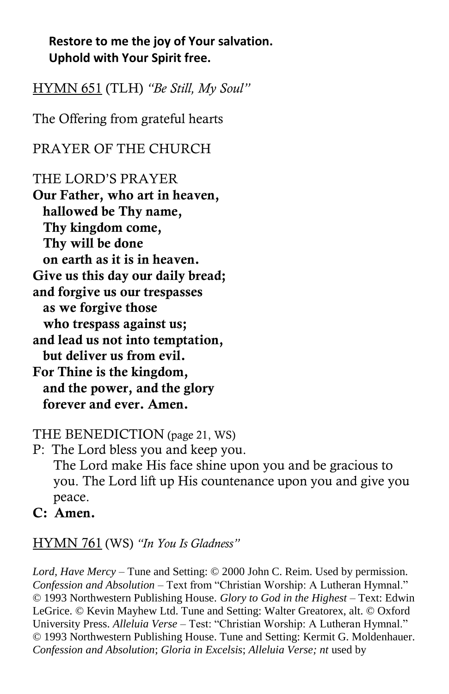**Restore to me the joy of Your salvation. Uphold with Your Spirit free.**

HYMN 651 (TLH) *"Be Still, My Soul"*

The Offering from grateful hearts

PRAYER OF THE CHURCH

THE LORD'S PRAYER

**Our Father, who art in heaven, hallowed be Thy name, Thy kingdom come, Thy will be done on earth as it is in heaven. Give us this day our daily bread; and forgive us our trespasses as we forgive those who trespass against us; and lead us not into temptation, but deliver us from evil. For Thine is the kingdom,**

 **and the power, and the glory forever and ever. Amen.**

THE BENEDICTION (page 21, WS)

P: The Lord bless you and keep you. The Lord make His face shine upon you and be gracious to you. The Lord lift up His countenance upon you and give you peace.

**C: Amen.**

HYMN 761 (WS) *"In You Is Gladness"*

*Lord, Have Mercy* – Tune and Setting: © 2000 John C. Reim. Used by permission. *Confession and Absolution* – Text from "Christian Worship: A Lutheran Hymnal." © 1993 Northwestern Publishing House. *Glory to God in the Highest* – Text: Edwin LeGrice. © Kevin Mayhew Ltd. Tune and Setting: Walter Greatorex, alt. © Oxford University Press. *Alleluia Verse* – Test: "Christian Worship: A Lutheran Hymnal." © 1993 Northwestern Publishing House. Tune and Setting: Kermit G. Moldenhauer. *Confession and Absolution*; *Gloria in Excelsis*; *Alleluia Verse; nt* used by